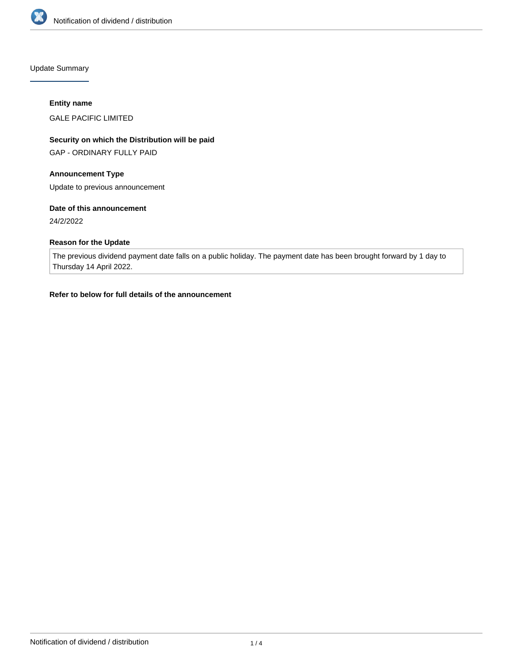

Update Summary

### **Entity name**

GALE PACIFIC LIMITED

# **Security on which the Distribution will be paid**

GAP - ORDINARY FULLY PAID

# **Announcement Type**

Update to previous announcement

## **Date of this announcement**

24/2/2022

# **Reason for the Update**

The previous dividend payment date falls on a public holiday. The payment date has been brought forward by 1 day to Thursday 14 April 2022.

### **Refer to below for full details of the announcement**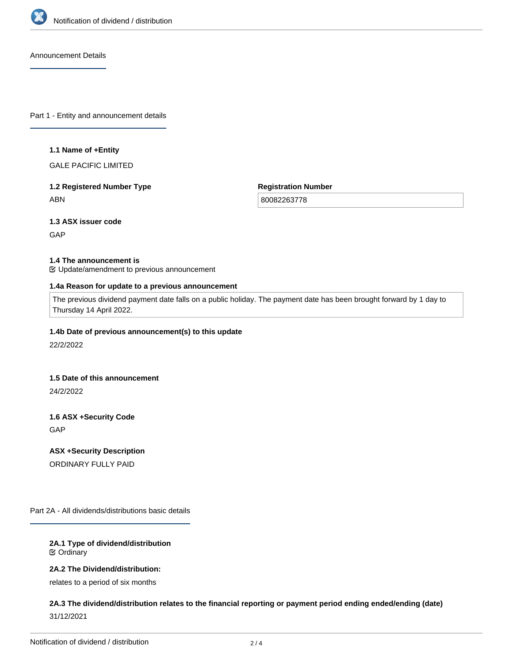

Announcement Details

Part 1 - Entity and announcement details

#### **1.1 Name of +Entity**

GALE PACIFIC LIMITED

# **1.2 Registered Number Type** ABN

**Registration Number**

80082263778

# **1.3 ASX issuer code**

**GAP** 

#### **1.4 The announcement is**

Update/amendment to previous announcement

#### **1.4a Reason for update to a previous announcement**

The previous dividend payment date falls on a public holiday. The payment date has been brought forward by 1 day to Thursday 14 April 2022.

### **1.4b Date of previous announcement(s) to this update**

22/2/2022

#### **1.5 Date of this announcement**

24/2/2022

# **1.6 ASX +Security Code**

**GAP** 

## **ASX +Security Description**

ORDINARY FULLY PAID

Part 2A - All dividends/distributions basic details

## **2A.1 Type of dividend/distribution** Ordinary

# **2A.2 The Dividend/distribution:**

relates to a period of six months

# **2A.3 The dividend/distribution relates to the financial reporting or payment period ending ended/ending (date)** 31/12/2021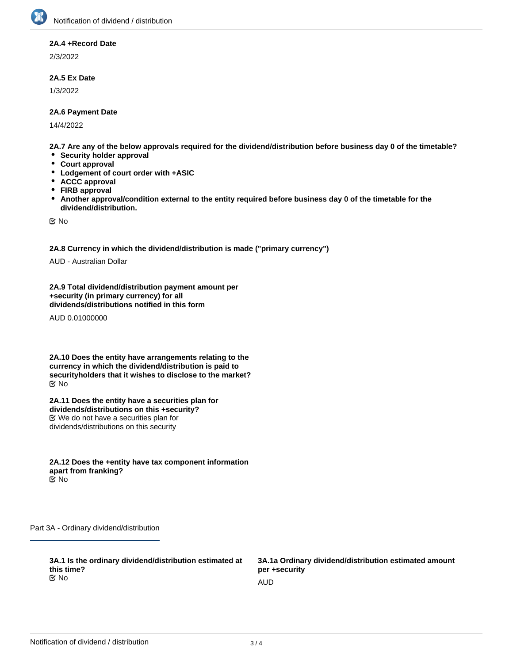### **2A.4 +Record Date**

2/3/2022

### **2A.5 Ex Date**

1/3/2022

### **2A.6 Payment Date**

14/4/2022

**2A.7 Are any of the below approvals required for the dividend/distribution before business day 0 of the timetable?**

- **Security holder approval**
- **Court approval**
- $\bullet$ **Lodgement of court order with +ASIC**
- $\bullet$ **ACCC approval**
- $\bullet$ **FIRB approval**
- $\bullet$ **Another approval/condition external to the entity required before business day 0 of the timetable for the dividend/distribution.**

No

**2A.8 Currency in which the dividend/distribution is made ("primary currency")**

AUD - Australian Dollar

**2A.9 Total dividend/distribution payment amount per +security (in primary currency) for all dividends/distributions notified in this form**

AUD 0.01000000

**2A.10 Does the entity have arrangements relating to the currency in which the dividend/distribution is paid to securityholders that it wishes to disclose to the market?** No

**2A.11 Does the entity have a securities plan for dividends/distributions on this +security?** We do not have a securities plan for dividends/distributions on this security

**2A.12 Does the +entity have tax component information apart from franking?** No

Part 3A - Ordinary dividend/distribution

**3A.1 Is the ordinary dividend/distribution estimated at this time?**<br>**⊠**No No and the contract of the contract of the contract of the contract of the contract of the contract of the contract of the contract of the contract of the contract of the contract of the contract of the contract of the con

**3A.1a Ordinary dividend/distribution estimated amount per +security**